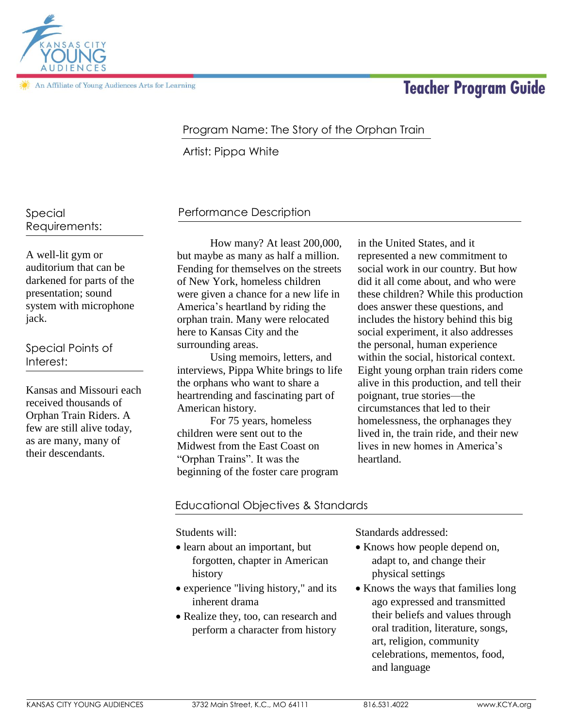

An Affiliate of Young Audiences Arts for Learning

# **Teacher Program Guide**

## Program Name: The Story of the Orphan Train

Artist: Pippa White

## Special Requirements:

A well-lit gym or auditorium that can be darkened for parts of the presentation; sound system with microphone jack.

Special Points of Interest:

Kansas and Missouri each received thousands of Orphan Train Riders. A few are still alive today, as are many, many of their descendants.

# Performance Description

How many? At least 200,000, but maybe as many as half a million. Fending for themselves on the streets of New York, homeless children were given a chance for a new life in America's heartland by riding the orphan train. Many were relocated here to Kansas City and the surrounding areas.

Using memoirs, letters, and interviews, Pippa White brings to life the orphans who want to share a heartrending and fascinating part of American history.

For 75 years, homeless children were sent out to the Midwest from the East Coast on "Orphan Trains". It was the beginning of the foster care program

in the United States, and it represented a new commitment to social work in our country. But how did it all come about, and who were these children? While this production does answer these questions, and includes the history behind this big social experiment, it also addresses the personal, human experience within the social, historical context. Eight young orphan train riders come alive in this production, and tell their poignant, true stories—the circumstances that led to their homelessness, the orphanages they lived in, the train ride, and their new lives in new homes in America's heartland.

## Educational Objectives & Standards

Students will:

- learn about an important, but forgotten, chapter in American history
- experience "living history," and its inherent drama
- Realize they, too, can research and perform a character from history

Standards addressed:

- Knows how people depend on, adapt to, and change their physical settings
- Knows the ways that families long ago expressed and transmitted their beliefs and values through oral tradition, literature, songs, art, religion, community celebrations, mementos, food, and language